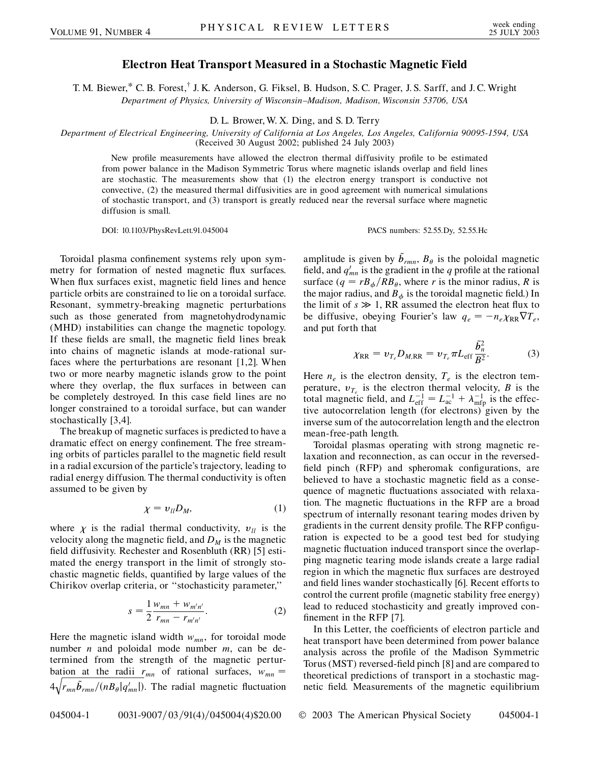## **Electron Heat Transport Measured in a Stochastic Magnetic Field**

T. M. Biewer,\* C. B. Forest,<sup>†</sup> J. K. Anderson, G. Fiksel, B. Hudson, S. C. Prager, J. S. Sarff, and J. C. Wright *Department of Physics, University of Wisconsin–Madison, Madison, Wisconsin 53706, USA*

D. L. Brower, W. X. Ding, and S. D. Terry

*Department of Electrical Engineering, University of California at Los Angeles, Los Angeles, California 90095-1594, USA* (Received 30 August 2002; published 24 July 2003)

New profile measurements have allowed the electron thermal diffusivity profile to be estimated from power balance in the Madison Symmetric Torus where magnetic islands overlap and field lines are stochastic. The measurements show that (1) the electron energy transport is conductive not convective, (2) the measured thermal diffusivities are in good agreement with numerical simulations of stochastic transport, and (3) transport is greatly reduced near the reversal surface where magnetic diffusion is small.

DOI: 10.1103/PhysRevLett.91.045004 PACS numbers: 52.55.Dy, 52.55.Hc

Toroidal plasma confinement systems rely upon symmetry for formation of nested magnetic flux surfaces. When flux surfaces exist, magnetic field lines and hence particle orbits are constrained to lie on a toroidal surface. Resonant, symmetry-breaking magnetic perturbations such as those generated from magnetohydrodynamic (MHD) instabilities can change the magnetic topology. If these fields are small, the magnetic field lines break into chains of magnetic islands at mode-rational surfaces where the perturbations are resonant [1,2]. When two or more nearby magnetic islands grow to the point where they overlap, the flux surfaces in between can be completely destroyed. In this case field lines are no longer constrained to a toroidal surface, but can wander stochastically [3,4].

The breakup of magnetic surfaces is predicted to have a dramatic effect on energy confinement. The free streaming orbits of particles parallel to the magnetic field result in a radial excursion of the particle's trajectory, leading to radial energy diffusion. The thermal conductivity is often assumed to be given by

$$
\chi = v_{ll} D_M, \tag{1}
$$

where  $\chi$  is the radial thermal conductivity,  $v_{ll}$  is the velocity along the magnetic field, and  $D_M$  is the magnetic field diffusivity. Rechester and Rosenbluth (RR) [5] estimated the energy transport in the limit of strongly stochastic magnetic fields, quantified by large values of the Chirikov overlap criteria, or ''stochasticity parameter,''

$$
s = \frac{1}{2} \frac{w_{mn} + w_{m'n'}}{r_{mn} - r_{m'n'}}.
$$
 (2)

Here the magnetic island width  $w_{mn}$ , for toroidal mode number *n* and poloidal mode number *m*, can be determined from the strength of the magnetic perturbation at the radii  $r_{mn}$  of rational surfaces,  $w_{mn} =$  $4\sqrt{r_{mn}\tilde{b}_{rm}/(n_{\theta}|q'_{mn})}$ . The radial magnetic fluctuation

amplitude is given by  $\tilde{b}_{rmn}$ ,  $B_{\theta}$  is the poloidal magnetic field, and  $q'_{mn}$  is the gradient in the  $q$  profile at the rational surface  $(q = rB_{\phi}/RB_{\theta}$ , where *r* is the minor radius, *R* is the major radius, and  $B_{\phi}$  is the toroidal magnetic field.) In the limit of  $s \gg 1$ , RR assumed the electron heat flux to be diffusive, obeying Fourier's law  $q_e = -n_e \chi_{RR} \nabla T_e$ , and put forth that

$$
\chi_{\rm RR} = v_{T_e} D_{M,\rm RR} = v_{T_e} \pi L_{\rm eff} \frac{\tilde{b}_n^2}{B^2}.
$$
 (3)

Here  $n_e$  is the electron density,  $T_e$  is the electron temperature,  $v_{T_e}$  is the electron thermal velocity, *B* is the total magnetic field, and  $L_{\text{eff}}^{-1} = L_{\text{ac}}^{-1} + \lambda_{\text{mfp}}^{-1}$  is the effective autocorrelation length (for electrons) given by the inverse sum of the autocorrelation length and the electron mean-free-path length.

Toroidal plasmas operating with strong magnetic relaxation and reconnection, as can occur in the reversedfield pinch (RFP) and spheromak configurations, are believed to have a stochastic magnetic field as a consequence of magnetic fluctuations associated with relaxation. The magnetic fluctuations in the RFP are a broad spectrum of internally resonant tearing modes driven by gradients in the current density profile. The RFP configuration is expected to be a good test bed for studying magnetic fluctuation induced transport since the overlapping magnetic tearing mode islands create a large radial region in which the magnetic flux surfaces are destroyed and field lines wander stochastically [6]. Recent efforts to control the current profile (magnetic stability free energy) lead to reduced stochasticity and greatly improved confinement in the RFP [7].

In this Letter, the coefficients of electron particle and heat transport have been determined from power balance analysis across the profile of the Madison Symmetric Torus (MST) reversed-field pinch [8] and are compared to theoretical predictions of transport in a stochastic magnetic field. Measurements of the magnetic equilibrium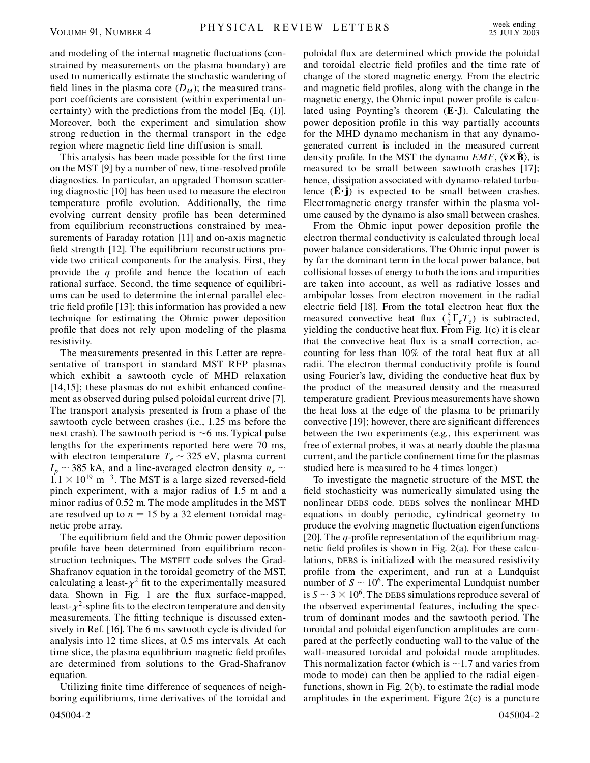and modeling of the internal magnetic fluctuations (constrained by measurements on the plasma boundary) are used to numerically estimate the stochastic wandering of field lines in the plasma core  $(D_M)$ ; the measured transport coefficients are consistent (within experimental uncertainty) with the predictions from the model [Eq. (1)]. Moreover, both the experiment and simulation show strong reduction in the thermal transport in the edge region where magnetic field line diffusion is small.

This analysis has been made possible for the first time on the MST [9] by a number of new, time-resolved profile diagnostics. In particular, an upgraded Thomson scattering diagnostic [10] has been used to measure the electron temperature profile evolution. Additionally, the time evolving current density profile has been determined from equilibrium reconstructions constrained by measurements of Faraday rotation [11] and on-axis magnetic field strength [12]. The equilibrium reconstructions provide two critical components for the analysis. First, they provide the *q* profile and hence the location of each rational surface. Second, the time sequence of equilibriums can be used to determine the internal parallel electric field profile [13]; this information has provided a new technique for estimating the Ohmic power deposition profile that does not rely upon modeling of the plasma resistivity.

The measurements presented in this Letter are representative of transport in standard MST RFP plasmas which exhibit a sawtooth cycle of MHD relaxation [14,15]; these plasmas do not exhibit enhanced confinement as observed during pulsed poloidal current drive [7]. The transport analysis presented is from a phase of the sawtooth cycle between crashes (i.e., 1.25 ms before the next crash). The sawtooth period is  $\sim$ 6 ms. Typical pulse lengths for the experiments reported here were 70 ms, with electron temperature  $T_e \sim 325$  eV, plasma current  $I_p \sim 385$  kA, and a line-averaged electron density  $n_e \sim$  $1.1 \times 10^{19}$  m<sup>-3</sup>. The MST is a large sized reversed-field pinch experiment, with a major radius of 1.5 m and a minor radius of 0.52 m. The mode amplitudes in the MST are resolved up to  $n = 15$  by a 32 element toroidal magnetic probe array.

The equilibrium field and the Ohmic power deposition profile have been determined from equilibrium reconstruction techniques. The MSTFIT code solves the Grad-Shafranov equation in the toroidal geometry of the MST, calculating a least- $\chi^2$  fit to the experimentally measured data. Shown in Fig. 1 are the flux surface-mapped, least- $\chi^2$ -spline fits to the electron temperature and density measurements. The fitting technique is discussed extensively in Ref. [16]. The 6 ms sawtooth cycle is divided for analysis into 12 time slices, at 0.5 ms intervals. At each time slice, the plasma equilibrium magnetic field profiles are determined from solutions to the Grad-Shafranov equation.

Utilizing finite time difference of sequences of neighboring equilibriums, time derivatives of the toroidal and 045004-2 045004-2

poloidal flux are determined which provide the poloidal and toroidal electric field profiles and the time rate of change of the stored magnetic energy. From the electric and magnetic field profiles, along with the change in the magnetic energy, the Ohmic input power profile is calculated using Poynting's theorem (**EJ**). Calculating the power deposition profile in this way partially accounts for the MHD dynamo mechanism in that any dynamogenerated current is included in the measured current density profile. In the MST the dynamo  $EMF$ ,  $\langle \tilde{\mathbf{v}} \times \mathbf{B} \rangle$ , is measured to be small between sawtooth crashes [17]; hence, dissipation associated with dynamo-related turbulence  $(\tilde{E} \cdot \tilde{j})$  is expected to be small between crashes. Electromagnetic energy transfer within the plasma volume caused by the dynamo is also small between crashes.

From the Ohmic input power deposition profile the electron thermal conductivity is calculated through local power balance considerations. The Ohmic input power is by far the dominant term in the local power balance, but collisional losses of energy to both the ions and impurities are taken into account, as well as radiative losses and ambipolar losses from electron movement in the radial electric field [18]. From the total electron heat flux the measured convective heat flux  $(\frac{5}{2}\Gamma_e T_e)$  is subtracted, yielding the conductive heat flux. From Fig. 1(c) it is clear that the convective heat flux is a small correction, accounting for less than 10% of the total heat flux at all radii. The electron thermal conductivity profile is found using Fourier's law, dividing the conductive heat flux by the product of the measured density and the measured temperature gradient. Previous measurements have shown the heat loss at the edge of the plasma to be primarily convective [19]; however, there are significant differences between the two experiments (e.g., this experiment was free of external probes, it was at nearly double the plasma current, and the particle confinement time for the plasmas studied here is measured to be 4 times longer.)

To investigate the magnetic structure of the MST, the field stochasticity was numerically simulated using the nonlinear DEBS code. DEBS solves the nonlinear MHD equations in doubly periodic, cylindrical geometry to produce the evolving magnetic fluctuation eigenfunctions [20]. The *q*-profile representation of the equilibrium magnetic field profiles is shown in Fig. 2(a). For these calculations, DEBS is initialized with the measured resistivity profile from the experiment, and run at a Lundquist number of  $S \sim 10^6$ . The experimental Lundquist number is  $S \sim 3 \times 10^6$ . The DEBS simulations reproduce several of the observed experimental features, including the spectrum of dominant modes and the sawtooth period. The toroidal and poloidal eigenfunction amplitudes are compared at the perfectly conducting wall to the value of the wall-measured toroidal and poloidal mode amplitudes. This normalization factor (which is 1*:*7 and varies from mode to mode) can then be applied to the radial eigenfunctions, shown in Fig. 2(b), to estimate the radial mode amplitudes in the experiment. Figure 2(c) is a puncture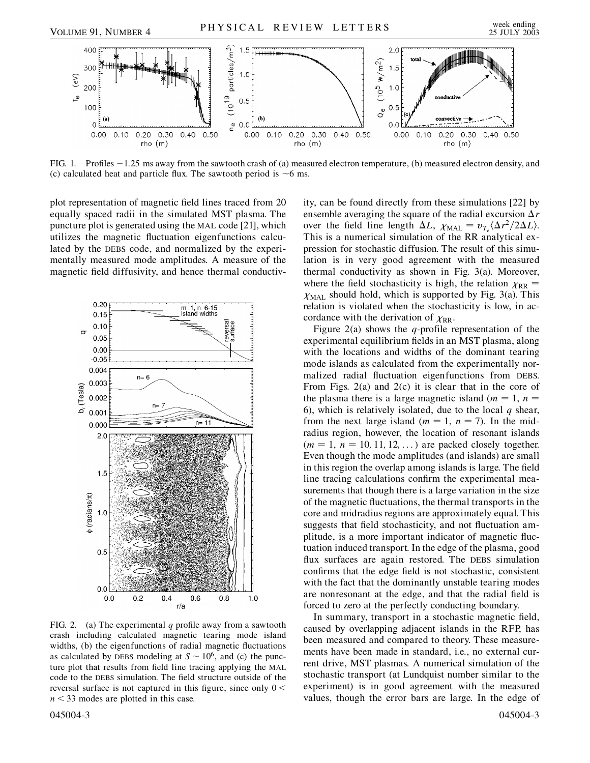

FIG. 1. Profiles  $-1.25$  ms away from the sawtooth crash of (a) measured electron temperature, (b) measured electron density, and (c) calculated heat and particle flux. The sawtooth period is  $\sim$ 6 ms.

plot representation of magnetic field lines traced from 20 equally spaced radii in the simulated MST plasma. The puncture plot is generated using the MAL code [21], which utilizes the magnetic fluctuation eigenfunctions calculated by the DEBS code, and normalized by the experimentally measured mode amplitudes. A measure of the magnetic field diffusivity, and hence thermal conductiv-



FIG. 2. (a) The experimental *q* profile away from a sawtooth crash including calculated magnetic tearing mode island widths, (b) the eigenfunctions of radial magnetic fluctuations as calculated by DEBS modeling at  $S \sim 10^6$ , and (c) the puncture plot that results from field line tracing applying the MAL code to the DEBS simulation. The field structure outside of the reversal surface is not captured in this figure, since only 0 *< n <* 33 modes are plotted in this case.

045004-3 045004-3

ity, can be found directly from these simulations [22] by ensemble averaging the square of the radial excursion  $\Delta r$ over the field line length  $\Delta L$ ,  $\chi_{\text{MAL}} = v_{T_e} \langle \Delta r^2 / 2 \Delta L \rangle$ . This is a numerical simulation of the RR analytical expression for stochastic diffusion. The result of this simulation is in very good agreement with the measured thermal conductivity as shown in Fig. 3(a). Moreover, where the field stochasticity is high, the relation  $\chi_{RR}$  =  $X_{\text{MAL}}$  should hold, which is supported by Fig. 3(a). This relation is violated when the stochasticity is low, in accordance with the derivation of  $\chi_{RR}$ .

Figure 2(a) shows the  $q$ -profile representation of the experimental equilibrium fields in an MST plasma, along with the locations and widths of the dominant tearing mode islands as calculated from the experimentally normalized radial fluctuation eigenfunctions from DEBS. From Figs. 2(a) and 2(c) it is clear that in the core of the plasma there is a large magnetic island ( $m = 1$ ,  $n =$ 6), which is relatively isolated, due to the local *q* shear, from the next large island ( $m = 1$ ,  $n = 7$ ). In the midradius region, however, the location of resonant islands  $(m = 1, n = 10, 11, 12, \ldots)$  are packed closely together. Even though the mode amplitudes (and islands) are small in this region the overlap among islands is large. The field line tracing calculations confirm the experimental measurements that though there is a large variation in the size of the magnetic fluctuations, the thermal transports in the core and midradius regions are approximately equal. This suggests that field stochasticity, and not fluctuation amplitude, is a more important indicator of magnetic fluctuation induced transport. In the edge of the plasma, good flux surfaces are again restored. The DEBS simulation confirms that the edge field is not stochastic, consistent with the fact that the dominantly unstable tearing modes are nonresonant at the edge, and that the radial field is forced to zero at the perfectly conducting boundary.

In summary, transport in a stochastic magnetic field, caused by overlapping adjacent islands in the RFP, has been measured and compared to theory. These measurements have been made in standard, i.e., no external current drive, MST plasmas. A numerical simulation of the stochastic transport (at Lundquist number similar to the experiment) is in good agreement with the measured values, though the error bars are large. In the edge of